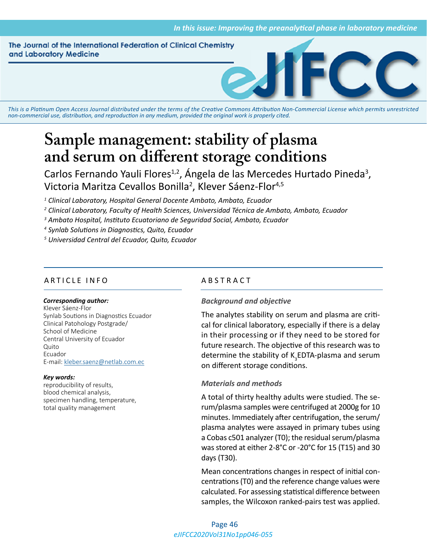The Journal of the International Federation of Clinical Chemistry and Laboratory Medicine



*This is a Platinum Open Access Journal distributed under the terms of the [Creative Commons Attribution Non-Commercial License](https://creativecommons.org/licenses/by-nc/4.0/) which permits unrestricted non-commercial use, distribution, and reproduction in any medium, provided the original work is properly cited.*

# **Sample management: stability of plasma and serum on different storage conditions**

Carlos Fernando Yauli Flores<sup>1,2</sup>, Ángela de las Mercedes Hurtado Pineda<sup>3</sup>, Victoria Maritza Cevallos Bonilla<sup>2</sup>, Klever Sáenz-Flor<sup>4,5</sup>

*1 Clinical Laboratory, Hospital General Docente Ambato, Ambato, Ecuador* 

- *2 Clinical Laboratory, Faculty of Health Sciences, Universidad Técnica de Ambato, Ambato, Ecuador*
- *3 Ambato Hospital, Instituto Ecuatoriano de Seguridad Social, Ambato, Ecuador*

*4 Synlab Solutions in Diagnostics, Quito, Ecuador*

*5 Universidad Central del Ecuador, Quito, Ecuador*

#### ARTICLE INFO ABSTRACT

#### *Corresponding author:*

Klever Sáenz-Flor Synlab Soutions in Diagnostics Ecuador Clinical Patohology Postgrade/ School of Medicine Central University of Ecuador Quito Ecuador E-mail: [kleber.saenz@netlab.com.ec](mailto:kleber.saenz@netlab.com.ec)

#### *Key words:*

reproducibility of results, blood chemical analysis, specimen handling, temperature, total quality management

#### *Background and objective*

The analytes stability on serum and plasma are critical for clinical laboratory, especially if there is a delay in their processing or if they need to be stored for future research. The objective of this research was to determine the stability of  $K_{3}$ EDTA-plasma and serum on different storage conditions.

#### *Materials and methods*

A total of thirty healthy adults were studied. The serum/plasma samples were centrifuged at 2000g for 10 minutes. Immediately after centrifugation, the serum/ plasma analytes were assayed in primary tubes using a Cobas c501 analyzer (T0); the residual serum/plasma was stored at either 2-8°C or -20°C for 15 (T15) and 30 days (T30).

Mean concentrations changes in respect of initial concentrations (T0) and the reference change values were calculated. For assessing statistical difference between samples, the Wilcoxon ranked-pairs test was applied.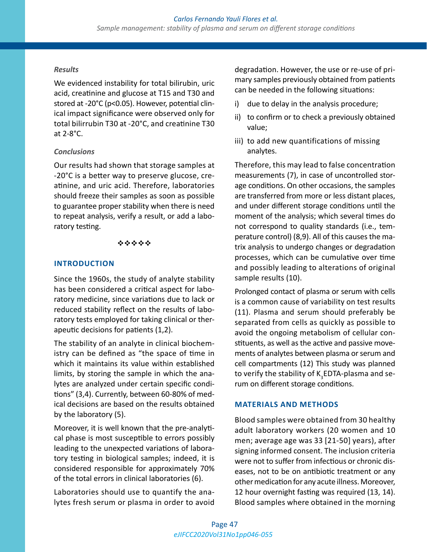#### *Results*

We evidenced instability for total bilirubin, uric acid, creatinine and glucose at T15 and T30 and stored at -20°C (p<0.05). However, potential clinical impact significance were observed only for total bilirrubin T30 at -20°C, and creatinine T30 at 2-8°C.

#### *Conclusions*

Our results had shown that storage samples at -20°C is a better way to preserve glucose, creatinine, and uric acid. Therefore, laboratories should freeze their samples as soon as possible to guarantee proper stability when there is need to repeat analysis, verify a result, or add a laboratory testing.

#### \*\*\*\*\*

#### **INTRODUCTION**

Since the 1960s, the study of analyte stability has been considered a critical aspect for laboratory medicine, since variations due to lack or reduced stability reflect on the results of laboratory tests employed for taking clinical or therapeutic decisions for patients (1,2).

The stability of an analyte in clinical biochemistry can be defined as "the space of time in which it maintains its value within established limits, by storing the sample in which the analytes are analyzed under certain specific conditions" (3,4). Currently, between 60-80% of medical decisions are based on the results obtained by the laboratory (5).

Moreover, it is well known that the pre-analytical phase is most susceptible to errors possibly leading to the unexpected variations of laboratory testing in biological samples; indeed, it is considered responsible for approximately 70% of the total errors in clinical laboratories (6).

Laboratories should use to quantify the analytes fresh serum or plasma in order to avoid degradation. However, the use or re-use of primary samples previously obtained from patients can be needed in the following situations:

- i) due to delay in the analysis procedure;
- ii) to confirm or to check a previously obtained value;
- iii) to add new quantifications of missing analytes.

Therefore, this may lead to false concentration measurements (7), in case of uncontrolled storage conditions. On other occasions, the samples are transferred from more or less distant places, and under different storage conditions until the moment of the analysis; which several times do not correspond to quality standards (i.e., temperature control) (8,9). All of this causes the matrix analysis to undergo changes or degradation processes, which can be cumulative over time and possibly leading to alterations of original sample results (10).

Prolonged contact of plasma or serum with cells is a common cause of variability on test results (11). Plasma and serum should preferably be separated from cells as quickly as possible to avoid the ongoing metabolism of cellular constituents, as well as the active and passive movements of analytes between plasma or serum and cell compartments (12) This study was planned to verify the stability of K<sub>3</sub>EDTA-plasma and serum on different storage conditions.

### **MATERIALS AND METHODS**

Blood samples were obtained from 30 healthy adult laboratory workers (20 women and 10 men; average age was 33 [21-50] years), after signing informed consent. The inclusion criteria were not to suffer from infectious or chronic diseases, not to be on antibiotic treatment or any other medication for any acute illness. Moreover, 12 hour overnight fasting was required (13, 14). Blood samples where obtained in the morning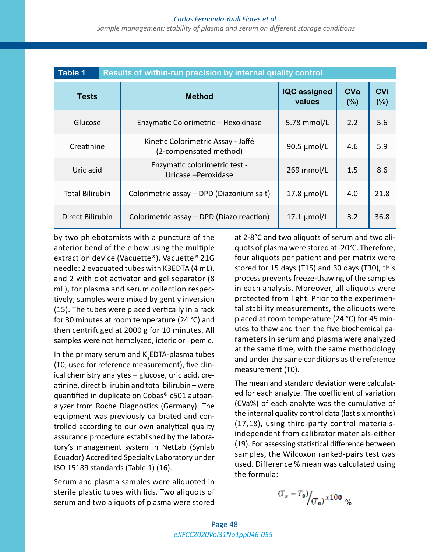#### *Carlos Fernando Yauli Flores et al.*

*Sample management: stability of plasma and serum on different storage conditions*

| <b>Table 1</b>         | Results of within-run precision by internal quality control  |                               |                   |                   |
|------------------------|--------------------------------------------------------------|-------------------------------|-------------------|-------------------|
| Tests                  | <b>Method</b>                                                | <b>IQC</b> assigned<br>values | <b>CVa</b><br>(%) | <b>CVi</b><br>(%) |
| Glucose                | Enzymatic Colorimetric - Hexokinase                          | 5.78 mmol/L                   | 2.2               | 5.6               |
| Creatinine             | Kinetic Colorimetric Assay - Jaffé<br>(2-compensated method) | 90.5 µmol/L                   | 4.6               | 5.9               |
| Uric acid              | Enzymatic colorimetric test -<br>Uricase - Peroxidase        | 269 mmol/L                    | 1.5               | 8.6               |
| <b>Total Bilirubin</b> | Colorimetric assay - DPD (Diazonium salt)                    | $17.8 \mu$ mol/L              | 4.0               | 21.8              |
| Direct Bilirubin       | Colorimetric assay – DPD (Diazo reaction)                    | $17.1 \mu$ mol/L              | 3.2               | 36.8              |

by two phlebotomists with a puncture of the anterior bend of the elbow using the multiple extraction device (Vacuette®), Vacuette® 21G needle: 2 evacuated tubes with K3EDTA (4 mL), and 2 with clot activator and gel separator (8 mL), for plasma and serum collection respectively; samples were mixed by gently inversion (15). The tubes were placed vertically in a rack for 30 minutes at room temperature (24 °C) and then centrifuged at 2000 g for 10 minutes. All samples were not hemolyzed, icteric or lipemic.

In the primary serum and  $\text{K}_{3}$ EDTA-plasma tubes (T0, used for reference measurement), five clinical chemistry analytes – glucose, uric acid, creatinine, direct bilirubin and total bilirubin – were quantified in duplicate on Cobas® c501 autoanalyzer from Roche Diagnostics (Germany). The equipment was previously calibrated and controlled according to our own analytical quality assurance procedure established by the laboratory's management system in NetLab (Synlab Ecuador) Accredited Specialty Laboratory under ISO 15189 standards (Table 1) (16).

Serum and plasma samples were aliquoted in sterile plastic tubes with lids. Two aliquots of serum and two aliquots of plasma were stored

at 2-8°C and two aliquots of serum and two aliquots of plasma were stored at -20°C. Therefore, four aliquots per patient and per matrix were stored for 15 days (T15) and 30 days (T30), this process prevents freeze-thawing of the samples in each analysis. Moreover, all aliquots were protected from light. Prior to the experimental stability measurements, the aliquots were placed at room temperature (24 °C) for 45 minutes to thaw and then the five biochemical parameters in serum and plasma were analyzed at the same time, with the same methodology and under the same conditions as the reference measurement (T0).

The mean and standard deviation were calculated for each analyte. The coefficient of variation (CVa%) of each analyte was the cumulative of the internal quality control data (last six months) (17,18), using third-party control materialsindependent from calibrator materials-either (19). For assessing statistical difference between samples, the Wilcoxon ranked-pairs test was used. Difference % mean was calculated using the formula:

$$
(T_x - T_0) / (T_0) \times 100 \, \%
$$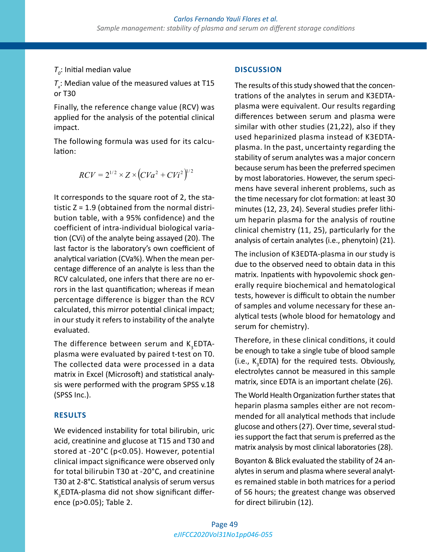## $T_o$ : Initial median value

 $T_{\rm x}$ : Median value of the measured values at T15 or T30

Finally, the reference change value (RCV) was applied for the analysis of the potential clinical impact.

The following formula was used for its calculation:

$$
RCV = 2^{1/2} \times Z \times (CVa^{2} + CVi^{2})^{1/2}
$$

It corresponds to the square root of 2, the statistic Z = 1.9 (obtained from the normal distribution table, with a 95% confidence) and the coefficient of intra-individual biological variation (CVi) of the analyte being assayed (20). The last factor is the laboratory's own coefficient of analytical variation (CVa%). When the mean percentage difference of an analyte is less than the RCV calculated, one infers that there are no errors in the last quantification; whereas if mean percentage difference is bigger than the RCV calculated, this mirror potential clinical impact; in our study it refers to instability of the analyte evaluated.

The difference between serum and  $\texttt{K}_{\mathsf{3}}$ EDTAplasma were evaluated by paired t-test on T0. The collected data were processed in a data matrix in Excel (Microsoft) and statistical analysis were performed with the program SPSS v.18 (SPSS Inc.).

#### **RESULTS**

We evidenced instability for total bilirubin, uric acid, creatinine and glucose at T15 and T30 and stored at -20°C (p<0.05). However, potential clinical impact significance were observed only for total bilirubin T30 at -20°C, and creatinine T30 at 2-8°C. Statistical analysis of serum versus  $\text{K}_{\scriptscriptstyle{3}}$ EDTA-plasma did not show significant difference (p>0.05); Table 2.

#### **DISCUSSION**

The results of this study showed that the concentrations of the analytes in serum and K3EDTAplasma were equivalent. Our results regarding differences between serum and plasma were similar with other studies (21,22), also if they used heparinized plasma instead of K3EDTAplasma. In the past, uncertainty regarding the stability of serum analytes was a major concern because serum has been the preferred specimen by most laboratories. However, the serum specimens have several inherent problems, such as the time necessary for clot formation: at least 30 minutes (12, 23, 24). Several studies prefer lithium heparin plasma for the analysis of routine clinical chemistry (11, 25), particularly for the analysis of certain analytes (i.e., phenytoin) (21).

The inclusion of K3EDTA-plasma in our study is due to the observed need to obtain data in this matrix. Inpatients with hypovolemic shock generally require biochemical and hematological tests, however is difficult to obtain the number of samples and volume necessary for these analytical tests (whole blood for hematology and serum for chemistry).

Therefore, in these clinical conditions, it could be enough to take a single tube of blood sample (i.e.,  $K_{3}$ EDTA) for the required tests. Obviously, electrolytes cannot be measured in this sample matrix, since EDTA is an important chelate (26).

The World Health Organization further states that heparin plasma samples either are not recommended for all analytical methods that include glucose and others (27). Over time, several studies support the fact that serum is preferred as the matrix analysis by most clinical laboratories (28).

Boyanton & Blick evaluated the stability of 24 analytes in serum and plasma where several analytes remained stable in both matrices for a period of 56 hours; the greatest change was observed for direct bilirubin (12).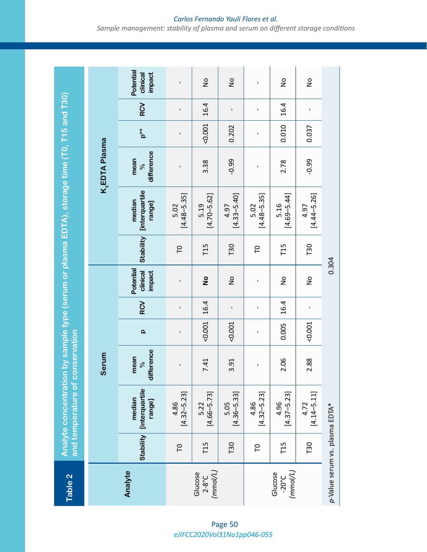Analyte concentration by sample type (serum or plasma EDTA), storage time (T0, T15 and T30) **Table 2 Analyte concentration by sample type (serum or plasma EDTA), storage time (T0, T15 and T30) and temperature of conservation** Table 2

| <b>Tanne</b>                           |                  | and temperature of conservation           |                                 |              |              |                                     |           |                                           |                            |                |                |                                 |
|----------------------------------------|------------------|-------------------------------------------|---------------------------------|--------------|--------------|-------------------------------------|-----------|-------------------------------------------|----------------------------|----------------|----------------|---------------------------------|
|                                        |                  |                                           | Serum                           |              |              |                                     |           |                                           | K <sub>3</sub> EDTA Plasma |                |                |                                 |
| Analyte                                | <b>Stability</b> | <b>[interquartile</b><br>median<br>range] | difference<br>mean<br>$\approx$ | $\Omega$     | RCV          | Potential<br>clinical<br>impact     | Stability | <b>[interquartile</b><br>median<br>range] | difference<br>mean<br>$\%$ | $p^{\ast\ast}$ | <b>RCV</b>     | Potential<br>impact<br>clinical |
|                                        | P                | $[4.32 - 5.23]$<br>4.86                   | ı                               | ı            | ı            | $\mathbf I$                         | P         | $[4.48 - 5.35]$<br>5.02                   | ı                          | ı              | $\blacksquare$ | ï                               |
| (mmol/L)<br>Glucose<br>$2-8^{\circ}C$  | T15              | $[4.66 - 5.73]$<br>5.22                   | 7.41                            | 0.001        | 16.4         | $\overset{\mathtt{o}}{\mathtt{z}}$  | T15       | $[4.70 - 5.62]$<br>5.19                   | 3.38                       | 0.001          | 16.4           | $\frac{1}{2}$                   |
|                                        | T30              | $[4.36 - 5.33]$<br>5.05                   | 3.91                            | 0.001        | $\mathbf I$  | $\frac{1}{2}$                       | T30       | $[4.33 - 5.40]$<br>4.97                   | $-0.99$                    | 0.202          | $\blacksquare$ | $\frac{1}{2}$                   |
|                                        | P                | $[4.32 - 5.23]$<br>4.86                   | $\mathbf{I}$                    | $\mathbf{I}$ | $\mathbf{I}$ | $\mathbf{I}$                        | P         | $[4.48 - 5.35]$<br>5.02                   | $\mathbf{I}$               | $\mathbf I$    | $\mathbf I$    | $\mathbf{I}$                    |
| (mm o/L)<br>Glucose<br>$-20^{\circ}$ C | T15              | $[4.37 - 5.23]$<br>4.96                   | 2.06                            | 0.005        | 16.4         | $\stackrel{\mathtt{o}}{\mathtt{z}}$ | T15       | $[4.69 - 5.44]$<br>5.16                   | 2.78                       | 0.010          | 16.4           | $\frac{1}{2}$                   |
|                                        | T30              | $[4.14 - 5.11]$<br>4.72                   | 2.88                            | 0.001        | ı            | $\frac{1}{2}$                       | T30       | $[4.44 - 5.26]$<br>4.97                   | $-0.99$                    | 0.037          | ı              | $\frac{1}{2}$                   |
| p-Value serum vs. plasma EDTA*         |                  |                                           |                                 |              |              | 0.304                               |           |                                           |                            |                |                |                                 |

*eJIFCC2020Vol31No1pp046-055* Page 50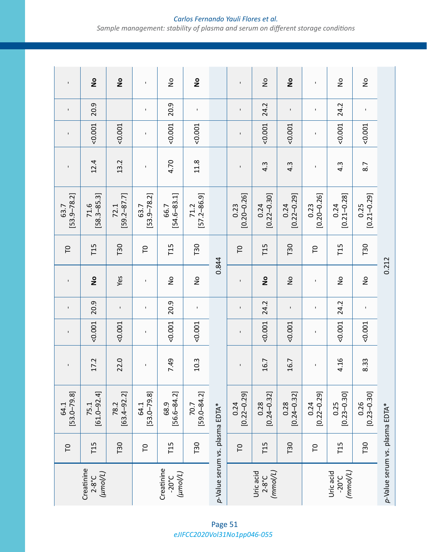#### $\frac{1}{2}$  $\frac{1}{2}$  $\frac{1}{2}$  $\frac{1}{2}$  $\frac{1}{2}$  $\frac{1}{2}$  $\frac{1}{2}$  $\frac{1}{2}$ T15 75.1 [61.0–92.4] 17.2 <0.001 20.9 **No** T15 71.6 [58.3–85.3] 12.4 <0.001 20.9 **No** T30 78.2 [63.4–92.2] 22.0 <0.001 - Yes T30 72.1 [59.2–87.7] 13.2 <0.001 **No** T15 68.9 [56.6–84.2] 7.49 <0.001 20.9 No T15 66.7 [54.6–83.1] 4.70 <0.001 20.9 No T30 70.7 [59.0–84.2] 10.3 <0.001 - No T30 71.2 [57.2–86.9] 11.8 <0.001 - **No** T15 0.28 [0.24–0.32] 16.7 <0.001 24.2 **No** T15 0.24 [0.22–0.30] 4.3 <0.001 24.2 No T30 0.28 [0.24–0.32] 16.7 <0.001 - No T30 0.24 [0.22–0.29] 4.3 <0.001 - **No** T15 0.25 [0.23–0.30] 4.16 <0.001 24.2 No T15 0.24 [0.21–0.28] 4.3 <0.001 24.2 No T30  $\begin{array}{|c|c|c|c|c|}\hline 0.26 & 0.26 & 8.33 &<0.001 & - & 0.25 & 0.25 & 8.7 & <0.001 & - & \hline \end{array}$  (0.21–0.29)  $\begin{array}{|c|c|c|c|}\hline 0.25 & 8.7 & <0.001 & - & \hline \end{array}$  No  $\overline{1}$  $\overline{1}$  $\mathbf{I}$ T0  $\begin{array}{|c|c|c|c|c|}\hline \text{64.1} & & - & - & \text{63.7} \ \hline \text{[53.0--79.8]} & & - & - & \text{[53.9--78.2]} & & - & - & \hline \end{array}$ T0  $\left[\begin{array}{cccccccccc} 64.1 & & & & & - & \ 153.0–79.81 & & & - & & - & \ 153.0–79.81 & & & - & & - & \end{array}\right]$  -  $\left[\begin{array}{cc} - & & & - & \ 153.9 & -78.2 & & & - \ 153.9 & -78.2 & & & - \end{array}\right]$  -  $\left[\begin{array}{cc} - & & - & \ - & & - \end{array}\right]$ T0  $\begin{array}{|c|c|c|c|c|}\hline 0.24 & & - & - & - & \hline & 10 & 0.20 & 0.23 & - \ \hline & 0.22 & -0.29 & & - & - & \hline & 0 & 0.20 & 0.26 & & - \ \hline \end{array}$ T0  $\begin{array}{|c|c|c|c|c|}\hline 0.24 & & - & - & - & \hline & 10 & 0.23 & & - \ \hline & 0.22-0.29 & & - & - & \ 0.20-0.26 & & & 0.20-0.26 & & - \ \hline \end{array}$ 20.9 20.9 24.2 24.2  $\mathbf{I}$  $\bar{\mathbf{I}}$  $\bar{1}$  $\bar{1}$  $\mathbf{r}$  $\mathbf{I}$  $\bar{\bar{1}}$  $-0.001$  $-0.001$  $0.001$  $-0.001$  $-0.001$  $-0.001$  $0.001$  $0.001$  $\blacksquare$  $\mathbf{I}$  $\blacksquare$  $\blacksquare$  $12.4$ 13.2  $11.8$ 4.70 8.7  $4.\overline{3}$  $4.\overline{3}$  $4.\overline{3}$  $\mathbf{I}$  $\overline{1}$  $\mathbf{r}$  $\mathbf{I}$  $71.6$ <br>[58.3–85.3] 63.7<br>[53.9–78.2]  $0.24$ <br>[0.21-0.28]  $[54.6 - 83.1]$  $[0.21 - 0.29]$  $[53.9 - 78.2]$  $[59.2 - 87.7]$  $[57.2 - 86.9]$  $[0.20 - 0.26]$  $[0.22 - 0.29]$  $[0.22 - 0.30]$  $[0.20 - 0.26]$ 72.1 63.7 66.7 71.2 0.23 0.24  $0.24$ 0.23 0.25 T15 T15 T15 T30 T30 T30 T30 **T15**  $\mathsf{C}$  $\mathsf{C}$  $\mathsf{C}$ P 0.844 0.212  *p-*Value serum vs. plasma EDTA\* 0.844  *p*-Value serum vs. plasma EDTA\* 0.212 $\frac{1}{2}$ Yes  $\stackrel{\mathtt{o}}{\mathsf{z}}$  $\overset{\mathtt{o}}{\mathsf{z}}$  $\overline{z}$  $\frac{1}{2}$  $\frac{1}{2}$  $\frac{1}{2}$  $\overline{1}$  $\mathbf{I}$  $\mathsf{I}\hspace{-1.5pt}\mathsf{I}$  $\mathsf{I}\hspace{-1.5pt}\mathsf{I}$ 20.9 24.2 20.9 24.2  $\bar{\mathbf{I}}$  $\mathbf{I}$  $\mathbf{I}$  $\bar{\mathbf{I}}$  $\bar{\bar{1}}$  $\bar{1}$  $\bar{1}$  $\bar{1}$  $0.001$  $0.001$  $0.001$  $0.001$  $0.001$  $0.001$  $0.001$  $0.001$  $\mathbf{I}$  $\overline{1}$  $\mathbf{I}$  $\mathbf{I}$ 22.0 17.2 7.49 10.3 16.7 16.7 4.16 8.33  $\bar{1}$  $\blacksquare$  $\overline{\phantom{a}}$  $\blacksquare$  $64.1$ <br>[53.0-79.8] 68.9<br>[56.6–84.2]  $70.7$ <br>[59.0–84.2]  $0.24$ <br>[0.22–0.29]  $0.25$ <br>[0.23–0.30]  $[53.0 - 79.8]$  $[61.0 - 92.4]$  $[63.4 - 92.2]$  $[0.22 - 0.29]$  $[0.24 - 0.32]$  $[0.24 - 0.32]$  $[0.23 - 0.30]$ 0.26 64.1 78.2 0.24 0.28 75.1 0.28 p-Value serum vs. plasma EDTA\* p-Value serum vs. plasma EDTA\* T15 T15 T30 T15 T30 T30 T30 T15  $\overline{C}$  $\overline{C}$  $\overline{C}$  $\overline{C}$ Creatinine Creatinine Creatinine *(µmol/L)* Creatinine *(mmol/L)* 2-8°C *(mmol/L)* -20°C *(µmol/L)* Uric acid 2-8°C Uric acid -20°C

*Carlos Fernando Yauli Flores et al. Sample management: stability of plasma and serum on different storage conditions*

*eJIFCC2020Vol31No1pp046-055* Page 51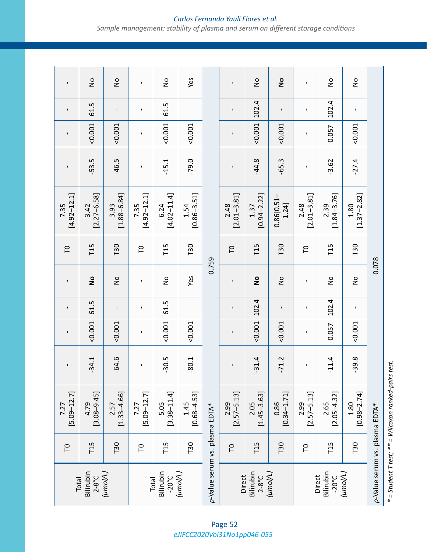### *Carlos Fernando Yauli Flores et al. Sample management: stability of plasma and serum on different storage conditions*

| Total                          | P   | $[5.09 - 12.7]$<br>7.27 | $\mathbf{I}$   | $\mathbf{I}$ | $\mathbf I$ | $\mathbf{I}$  | $\overline{\Gamma}$ | $[4.92 - 12.1]$<br>7.35 | $\mathbf I$ | $\mathbf{I}$   | $\mathbf I$ | $\mathbf{I}$  |
|--------------------------------|-----|-------------------------|----------------|--------------|-------------|---------------|---------------------|-------------------------|-------------|----------------|-------------|---------------|
| Bilirubin<br>$2-8^{\circ}C$    | T15 | $[3.08 - 9.45]$<br>4.79 | $-34.1$        | 0.001        | 61.5        | $\frac{1}{2}$ | T15                 | $[2.27 - 6.58]$<br>3.42 | 53.5        | 0.001          | 61.5        | $\frac{1}{2}$ |
| $(\mu$ mol/L)                  | T30 | $[1.33 - 4.66]$<br>2.57 | $-64.6$        | 0.001        | $\mathbf I$ | $\frac{1}{2}$ | T30                 | $[1.88 - 6.84]$<br>3.93 | $-46.5$     | $-0.001$       | $\mathbf I$ | $\frac{1}{2}$ |
| <b>Total</b>                   | P   | $[5.09 - 12.7]$<br>7.27 | $\blacksquare$ | $\mathbf I$  | $\mathbf I$ | $\mathbf{I}$  | $\overline{C}$      | $[4.92 - 12.1]$<br>7.35 |             | $\blacksquare$ | $\mathbf I$ | $\mathbf{I}$  |
| Bilirubin<br>$-20^{\circ}$ C   | T15 | $[3.38 - 11.4]$<br>5.05 | $-30.5$        | 0.001        | 61.5        | $\frac{1}{2}$ | T15                 | $[4.02 - 11.4]$<br>6.24 | $-15.1$     | $-0.001$       | 61.5        | $\frac{1}{2}$ |
| $(\mu$ mol/L)                  | T30 | $[0.68 - 4.53]$<br>1.45 | $-80.1$        | 0.001        |             | Yes           | T30                 | $[0.86 - 3.51]$<br>1.54 | $-79.0$     | 0.001          |             | Yes           |
| p-Value serum vs. plasma EDTA* |     |                         |                |              |             | 0.759         |                     |                         |             |                |             |               |
| Direct                         | P   | $[2.57 - 5.13]$<br>2.99 | $\blacksquare$ | $\mathbf I$  | $\mathbf I$ | $\mathbf I$   | $\overline{\Gamma}$ | $[2.01 - 3.81]$<br>2.48 | $\mathbf I$ | $\mathbf I$    | $\mathbf I$ | $\mathbf{I}$  |
| Bilirubin<br>$2-8^{\circ}C$    | T15 | $[1.45 - 3.63]$<br>2.05 | $-31.4$        | 0.001        | 102.4       | $\frac{1}{2}$ | T15                 | $[0.94 - 2.22]$<br>1.37 | $-44.8$     | $-0.001$       | 102.4       | $\frac{1}{2}$ |
| $(\mu m o / \nu)$              | T30 | $[0.34 - 1.71]$<br>0.86 | $-71.2$        | 0.001        | $\mathbf I$ | $\frac{1}{2}$ | T30                 | 0.86[0.51]<br>1.24]     | $-65.3$     | $-0.001$       | $\mathbf I$ | $\frac{1}{2}$ |
| Direct                         | P   | $[2.57 - 5.13]$<br>2.99 | $\mathbf I$    | $\mathbf I$  | $\mathbf I$ | $\mathbf I$   | P                   | $[2.01 - 3.81]$<br>2.48 | $\mathbf I$ | $\mathbf I$    | $\mathbf I$ | $\mathbf{I}$  |
| Bilirubin<br>$-20^{\circ}$ C   | T15 | $[2.05 - 4.32]$<br>2.65 | $-11.4$        | 0.057        | 102.4       | $\frac{1}{2}$ | T15                 | $[1.84 - 3.76]$<br>2.39 | $-3.62$     | 0.057          | 102.4       | $\frac{1}{2}$ |
| $(\mu m o/L)$                  | T30 | $[0.98 - 2.74]$<br>1.80 | $-39.8$        | 0.001        | $\mathbf I$ | $\frac{1}{2}$ | T30                 | $[1.37 - 2.82]$<br>1.80 | $-27.4$     | 0.001          | $\mathbf I$ | $\frac{1}{2}$ |
| p-Value serum vs. plasma EDTA* |     |                         |                |              |             | 0.078         |                     |                         |             |                |             |               |

 $*$  = Student T test;  $**$  = Wilcoxon ranked-pairs test. *\* = Student T test; \*\* = Wilcoxon ranked-pairs test.*

*eJIFCC2020Vol31No1pp046-055* Page 52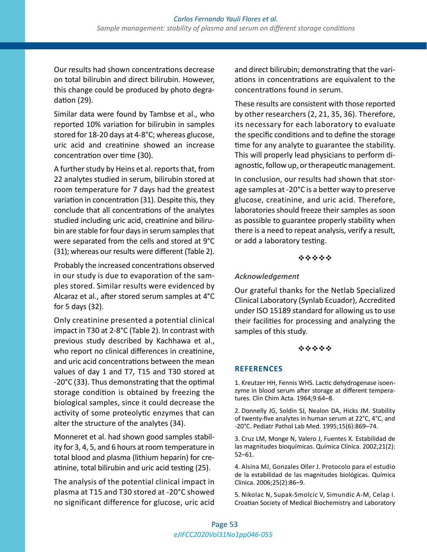Our results had shown concentrations decrease on total bilirubin and direct bilirubin. However, this change could be produced by photo degradation (29).

Similar data were found by Tambse et al., who reported 10% variation for bilirubin in samples stored for 18-20 days at 4-8°C; whereas glucose, uric acid and creatinine showed an increase concentration over time (30).

A further study by Heins et al. reports that, from 22 analytes studied in serum, bilirubin stored at room temperature for 7 days had the greatest variation in concentration (31). Despite this, they conclude that all concentrations of the analytes studied including uric acid, creatinine and bilirubin are stable for four days in serum samples that were separated from the cells and stored at 9°C (31); whereas our results were different (Table 2).

Probably the increased concentrations observed in our study is due to evaporation of the samples stored. Similar results were evidenced by Alcaraz et al., after stored serum samples at 4°C for 5 days (32).

Only creatinine presented a potential clinical impact in T30 at 2-8°C (Table 2). In contrast with previous study described by Kachhawa et al., who report no clinical differences in creatinine, and uric acid concentrations between the mean values of day 1 and T7, T15 and T30 stored at -20°C (33). Thus demonstrating that the optimal storage condition is obtained by freezing the biological samples, since it could decrease the activity of some proteolytic enzymes that can alter the structure of the analytes (34).

Monneret et al. had shown good samples stability for 3, 4, 5, and 6 hours at room temperature in total blood and plasma (lithium heparin) for creatinine, total bilirubin and uric acid testing (25).

The analysis of the potential clinical impact in plasma at T15 and T30 stored at -20°C showed no significant difference for glucose, uric acid and direct bilirubin; demonstrating that the variations in concentrations are equivalent to the concentrations found in serum.

These results are consistent with those reported by other researchers (2, 21, 35, 36). Therefore, its necessary for each laboratory to evaluate the specific conditions and to define the storage time for any analyte to guarantee the stability. This will properly lead physicians to perform diagnostic, follow up, or therapeutic management.

In conclusion, our results had shown that storage samples at -20°C is a better way to preserve glucose, creatinine, and uric acid. Therefore, laboratories should freeze their samples as soon as possible to guarantee properly stability when there is a need to repeat analysis, verify a result, or add a laboratory testing.

#### \*\*\*\*\*

#### *Acknowledgement*

Our grateful thanks for the Netlab Specialized Clinical Laboratory (Synlab Ecuador), Accredited under ISO 15189 standard for allowing us to use their facilities for processing and analyzing the samples of this study.

#### \*\*\*\*\*

#### **REFERENCES**

1. Kreutzer HH, Fennis WHS. Lactic dehydrogenase isoenzyme in blood serum after storage at different temperatures. Clin Chim Acta. 1964;9:64–8.

2. Donnelly JG, Soldin SJ, Nealon DA, Hicks JM. Stability of twenty-five analytes in human serum at 22°C, 4°C, and -20°C. Pediatr Pathol Lab Med. 1995;15(6):869–74.

3. Cruz LM, Monge N, Valero J, Fuentes X. Estabilidad de las magnitudes bioquímicas. Química Clínica. 2002;21(2): 52–61.

4. Alsina MJ, Gonzales Oller J. Protocolo para el estudio de la estabilidad de las magnitudes biológicas. Química Clinica. 2006;25(2):86–9.

5. Nikolac N, Supak-Smolcic V, Simundic A-M, Celap I. Croatian Society of Medical Biochemistry and Laboratory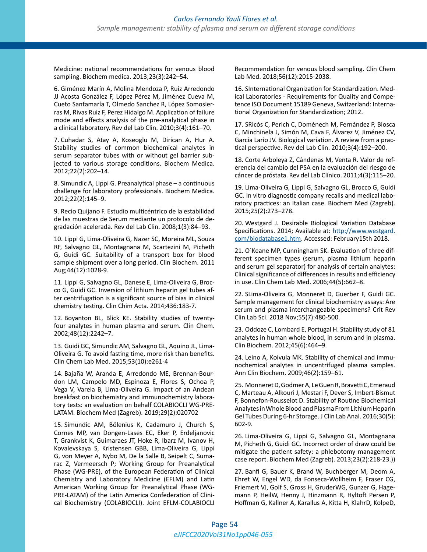Medicine: national recommendations for venous blood sampling. Biochem medica. 2013;23(3):242–54.

6. Giménez Marín A, Molina Mendoza P, Ruiz Arredondo JJ Acosta González F, López Pérez M, Jiménez Cueva M, Cueto Santamaría T, Olmedo Sanchez R, López Somosierras M, Rivas Ruiz F, Perez Hidalgo M. Application of failure mode and effects analysis of the pre-analytical phase in a clinical laboratory. Rev del Lab Clin. 2010;3(4):161–70.

7. Cuhadar S, Atay A, Koseoglu M, Dirican A, Hur A. Stability studies of common biochemical analytes in serum separator tubes with or without gel barrier subjected to various storage conditions. Biochem Medica. 2012;22(2):202–14.

8. Simundic A, Lippi G. Preanalytical phase – a continuous challenge for laboratory professionals. Biochem Medica. 2012;22(2):145–9.

9. Recio Quijano F. Estudio multicéntrico de la estabilidad de las muestras de Serum mediante un protocolo de degradación acelerada. Rev del Lab Clin. 2008;1(3):84–93.

10. Lippi G, Lima-Oliveira G, Nazer SC, Moreira ML, Souza RF, Salvagno GL, Montagnana M, Scartezini M, Picheth G, Guidi GC. Suitability of a transport box for blood sample shipment over a long period. Clin Biochem. 2011 Aug;44(12):1028-9.

11. Lippi G, Salvagno GL, Danese E, Lima-Oliveira G, Brocco G, Guidi GC. Inversion of lithium heparin gel tubes after centrifugation is a significant source of bias in clinical chemistry testing. Clin Chim Acta. 2014;436:183-7.

12. Boyanton BL, Blick KE. Stability studies of twentyfour analytes in human plasma and serum. Clin Chem. 2002;48(12):2242–7.

13. Guidi GC, Simundic AM, Salvagno GL, Aquino JL, Lima-Oliveira G. To avoid fasting time, more risk than benefits. Clin Chem Lab Med. 2015;53(10):e261-4

14. Bajaña W, Aranda E, Arredondo ME, Brennan-Bourdon LM, Campelo MD, Espinoza E, Flores S, Ochoa P, Vega V, Varela B, Lima-Oliveira G. Impact of an Andean breakfast on biochemistry and immunochemistry laboratory tests: an evaluation on behalf COLABIOCLI WG-PRE-LATAM. Biochem Med (Zagreb). 2019;29(2):020702

15. Simundic AM, Bölenius K, Cadamuro J, Church S, Cornes MP, van Dongen-Lases EC, Eker P, Erdeljanovic T, Grankvist K, Guimaraes JT, Hoke R, Ibarz M, Ivanov H, Kovalevskaya S, Kristensen GBB, Lima-Oliveira G, Lippi G, von Meyer A, Nybo M, De la Salle B, Seipelt C, Sumarac Z, Vermeersch P; Working Group for Preanalytical Phase (WG-PRE), of the European Federation of Clinical Chemistry and Laboratory Medicine (EFLM) and Latin American Working Group for Preanalytical Phase (WG-PRE-LATAM) of the Latin America Confederation of Clinical Biochemistry (COLABIOCLI). Joint EFLM-COLABIOCLI

Recommendation for venous blood sampling. Clin Chem Lab Med. 2018;56(12):2015-2038.

16. SInternational Organization for Standardization. Medical Laboratories - Requirements for Quality and Competence ISO Document 15189 Geneva, Switzerland: International Organization for Standardization; 2012.

17. SRicós C, Perich C, Doménech M, Fernández P, Biosca C, Minchinela J, Simón M, Cava F, Álvarez V, Jiménez CV, García Lario JV. Biological variation. A review from a practical perspective. Rev del Lab Clin. 2010;3(4):192–200.

18. Corte Arboleya Z, Cándenas M, Venta R. Valor de referencia del cambio del PSA en la evaluación del riesgo de cáncer de próstata. Rev del Lab Clínico. 2011;4(3):115–20.

19. Lima-Oliveira G, Lippi G, Salvagno GL, Brocco G, Guidi GC. In vitro diagnostic company recalls and medical laboratory practices: an Italian case. Biochem Med (Zagreb). 2015;25(2):273–278.

20. Westgard J. Desirable Biological Variation Database Specifications. 2014; Available at: [http://www.westgard.](http://www.westgard.com/biodatabase1.htm) [com/biodatabase1.htm](http://www.westgard.com/biodatabase1.htm). Accessed: February15th 2018.

21. O´Keane MP, Cunningham SK. Evaluation of three different specimen types (serum, plasma lithium heparin and serum gel separator) for analysis of certain analytes: Clinical significance of differences in results and efficiency in use. Clin Chem Lab Med. 2006;44(5):662–8.

22. SLima-Oliveira G, Monneret D, Guerber F, Guidi GC. Sample management for clinical biochemistry assays: Are serum and plasma interchangeable specimens? Crit Rev Clin Lab Sci. 2018 Nov;55(7):480-500.

23. Oddoze C, Lombard E, Portugal H. Stability study of 81 analytes in human whole blood, in serum and in plasma. Clin Biochem. 2012;45(6):464–9.

24. Leino A, Koivula MK. Stability of chemical and immunochemical analytes in uncentrifuged plasma samples. Ann Clin Biochem. 2009;46(2):159–61.

25. Monneret D, Godmer A, Le Guen R, Bravetti C, Emeraud C, Marteau A, Alkouri J, Mestari F, Dever S, Imbert-Bismut F, Bonnefon-Rousselot D. Stability of Routine Biochemical Analytes in Whole Blood and Plasma From Lithium Heparin Gel Tubes During 6-hr Storage. J Clin Lab Anal. 2016;30(5): 602-9.

26. Lima-Oliveira G, Lippi G, Salvagno GL, Montagnana M, Picheth G, Guidi GC. Incorrect order of draw could be mitigate the patient safety: a phlebotomy management case report. Biochem Med (Zagreb). 2013;23(2):218-23.))

27. Banfi G, Bauer K, Brand W, Buchberger M, Deom A, Ehret W, Engel WD, da Fonseca-Wollheim F, Fraser CG, Friemert VJ, Golf S, Gross H, GruderWG, Gunzer G, Hagemann P, HeilW, Henny J, Hinzmann R, Hyltoft Persen P, Hoffman G, Kallner A, Karallus A, Kitta H, KlahrD, KolpeD,